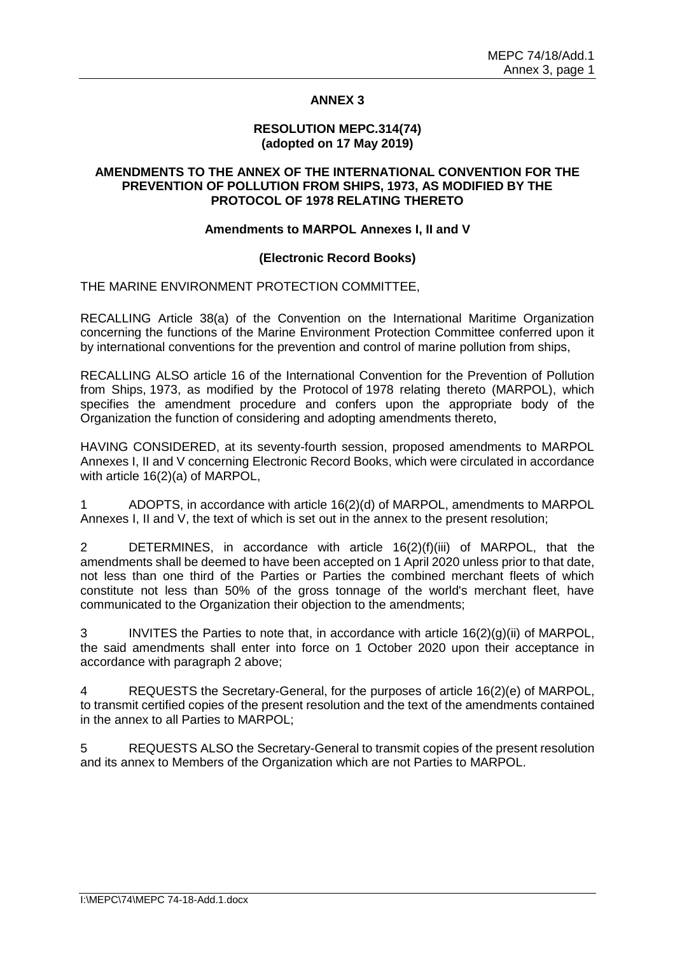# **ANNEX 3**

#### **RESOLUTION MEPC.314(74) (adopted on 17 May 2019)**

### **AMENDMENTS TO THE ANNEX OF THE INTERNATIONAL CONVENTION FOR THE PREVENTION OF POLLUTION FROM SHIPS, 1973, AS MODIFIED BY THE PROTOCOL OF 1978 RELATING THERETO**

### **Amendments to MARPOL Annexes I, II and V**

### **(Electronic Record Books)**

### THE MARINE ENVIRONMENT PROTECTION COMMITTEE,

RECALLING Article 38(a) of the Convention on the International Maritime Organization concerning the functions of the Marine Environment Protection Committee conferred upon it by international conventions for the prevention and control of marine pollution from ships,

RECALLING ALSO article 16 of the International Convention for the Prevention of Pollution from Ships, 1973, as modified by the Protocol of 1978 relating thereto (MARPOL), which specifies the amendment procedure and confers upon the appropriate body of the Organization the function of considering and adopting amendments thereto,

HAVING CONSIDERED, at its seventy-fourth session, proposed amendments to MARPOL Annexes I, II and V concerning Electronic Record Books, which were circulated in accordance with article 16(2)(a) of MARPOL,

1 ADOPTS, in accordance with article 16(2)(d) of MARPOL, amendments to MARPOL Annexes I, II and V, the text of which is set out in the annex to the present resolution;

2 DETERMINES, in accordance with article 16(2)(f)(iii) of MARPOL, that the amendments shall be deemed to have been accepted on 1 April 2020 unless prior to that date, not less than one third of the Parties or Parties the combined merchant fleets of which constitute not less than 50% of the gross tonnage of the world's merchant fleet, have communicated to the Organization their objection to the amendments;

3 INVITES the Parties to note that, in accordance with article 16(2)(g)(ii) of MARPOL, the said amendments shall enter into force on 1 October 2020 upon their acceptance in accordance with paragraph 2 above;

4 REQUESTS the Secretary-General, for the purposes of article 16(2)(e) of MARPOL, to transmit certified copies of the present resolution and the text of the amendments contained in the annex to all Parties to MARPOL;

5 REQUESTS ALSO the Secretary-General to transmit copies of the present resolution and its annex to Members of the Organization which are not Parties to MARPOL.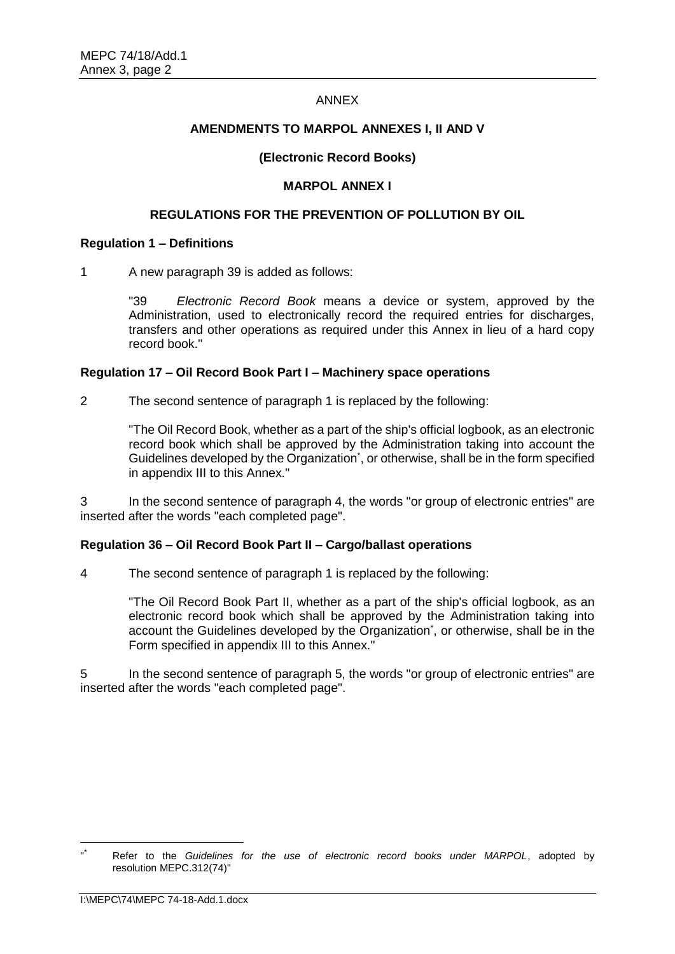#### ANNEX

# **AMENDMENTS TO MARPOL ANNEXES I, II AND V**

# **(Electronic Record Books)**

# **MARPOL ANNEX I**

### **REGULATIONS FOR THE PREVENTION OF POLLUTION BY OIL**

### **Regulation 1 – Definitions**

1 A new paragraph 39 is added as follows:

"39 *Electronic Record Book* means a device or system, approved by the Administration, used to electronically record the required entries for discharges, transfers and other operations as required under this Annex in lieu of a hard copy record book."

### **Regulation 17 – Oil Record Book Part I – Machinery space operations**

2 The second sentence of paragraph 1 is replaced by the following:

"The Oil Record Book, whether as a part of the ship's official logbook, as an electronic record book which shall be approved by the Administration taking into account the Guidelines developed by the Organization<sup>\*</sup>, or otherwise, shall be in the form specified in appendix III to this Annex."

In the second sentence of paragraph 4, the words "or group of electronic entries" are inserted after the words "each completed page".

# **Regulation 36 – Oil Record Book Part II – Cargo/ballast operations**

4 The second sentence of paragraph 1 is replaced by the following:

"The Oil Record Book Part II, whether as a part of the ship's official logbook, as an electronic record book which shall be approved by the Administration taking into account the Guidelines developed by the Organization<sup>\*</sup>, or otherwise, shall be in the Form specified in appendix III to this Annex."

5 In the second sentence of paragraph 5, the words "or group of electronic entries" are inserted after the words "each completed page".

 $\overline{a}$ 

<sup>&</sup>quot; \* Refer to the *Guidelines for the use of electronic record books under MARPOL*, adopted by resolution MEPC.312(74)"